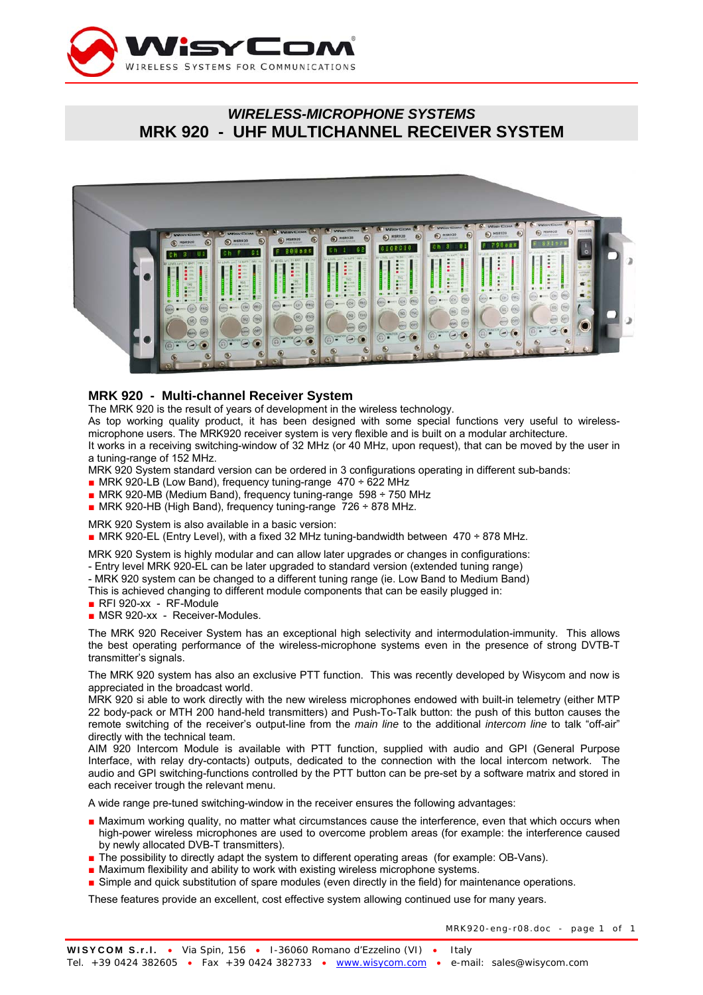

# *WIRELESS-MICROPHONE SYSTEMS*  **MRK 920 - UHF MULTICHANNEL RECEIVER SYSTEM**



### **MRK 920 - Multi-channel Receiver System**

The MRK 920 is the result of years of development in the wireless technology.

As top working quality product, it has been designed with some special functions very useful to wirelessmicrophone users. The MRK920 receiver system is very flexible and is built on a modular architecture. It works in a receiving switching-window of 32 MHz (or 40 MHz, upon request), that can be moved by the user in a tuning-range of 152 MHz.

MRK 920 System standard version can be ordered in 3 configurations operating in different sub-bands:

- MRK 920-LB (Low Band), frequency tuning-range 470 ÷ 622 MHz
- MRK 920-MB (Medium Band), frequency tuning-range 598 ÷ 750 MHz
- MRK 920-HB (High Band), frequency tuning-range 726 ÷ 878 MHz.

MRK 920 System is also available in a basic version:

 $\blacksquare$  MRK 920-EL (Entry Level), with a fixed 32 MHz tuning-bandwidth between 470 ÷ 878 MHz.

MRK 920 System is highly modular and can allow later upgrades or changes in configurations:

- Entry level MRK 920-EL can be later upgraded to standard version (extended tuning range)

- MRK 920 system can be changed to a different tuning range (ie. Low Band to Medium Band)
- This is achieved changing to different module components that can be easily plugged in:
- RFI 920-xx RF-Module
- MSR 920-xx Receiver-Modules.

The MRK 920 Receiver System has an exceptional high selectivity and intermodulation-immunity. This allows the best operating performance of the wireless-microphone systems even in the presence of strong DVTB-T transmitter's signals.

The MRK 920 system has also an exclusive PTT function. This was recently developed by Wisycom and now is appreciated in the broadcast world.

MRK 920 si able to work directly with the new wireless microphones endowed with built-in telemetry (either MTP 22 body-pack or MTH 200 hand-held transmitters) and Push-To-Talk button: the push of this button causes the remote switching of the receiver's output-line from the *main line* to the additional *intercom line* to talk "off-air" directly with the technical team.

AIM 920 Intercom Module is available with PTT function, supplied with audio and GPI (General Purpose Interface, with relay dry-contacts) outputs, dedicated to the connection with the local intercom network. The audio and GPI switching-functions controlled by the PTT button can be pre-set by a software matrix and stored in each receiver trough the relevant menu.

A wide range pre-tuned switching-window in the receiver ensures the following advantages:

- Maximum working quality, no matter what circumstances cause the interference, even that which occurs when high-power wireless microphones are used to overcome problem areas (for example: the interference caused by newly allocated DVB-T transmitters).
- The possibility to directly adapt the system to different operating areas (for example: OB-Vans).
- Maximum flexibility and ability to work with existing wireless microphone systems.
- Simple and quick substitution of spare modules (even directly in the field) for maintenance operations.

These features provide an excellent, cost effective system allowing continued use for many years.

MRK920-eng-r08.doc - page 1 of 1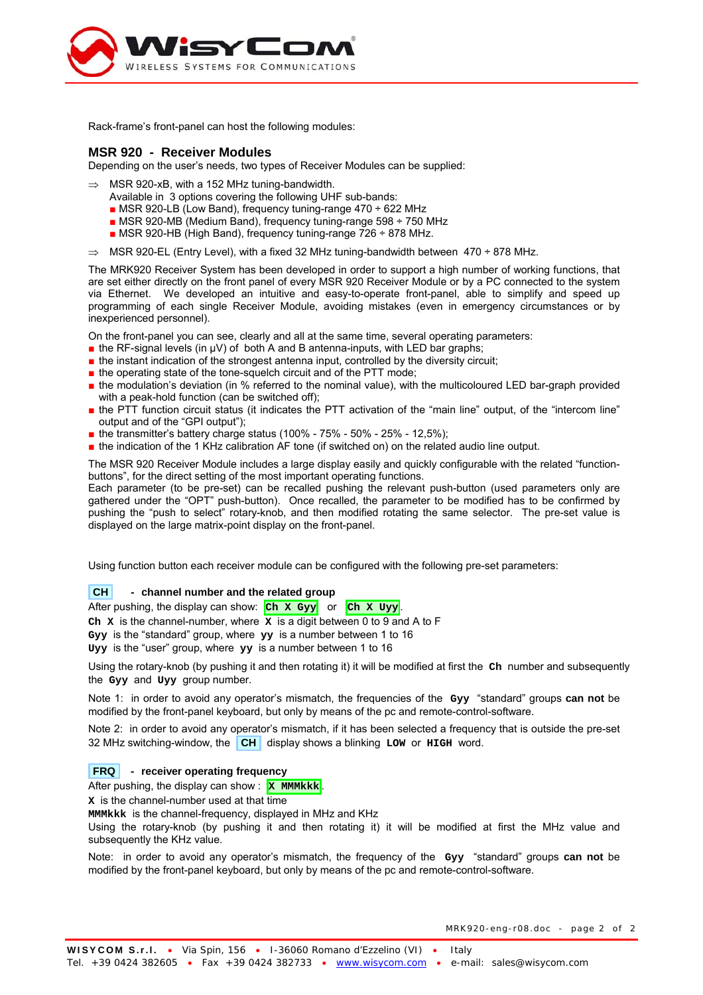

Rack-frame's front-panel can host the following modules:

### **MSR 920 - Receiver Modules**

Depending on the user's needs, two types of Receiver Modules can be supplied:

- MSR 920-xB, with a 152 MHz tuning-bandwidth.
	- Available in 3 options covering the following UHF sub-bands:
	- $\blacksquare$  MSR 920-LB (Low Band), frequency tuning-range 470 ÷ 622 MHz
	- $\blacksquare$  MSR 920-MB (Medium Band), frequency tuning-range 598  $\div$  750 MHz
	- MSR 920-HB (High Band), frequency tuning-range 726 ÷ 878 MHz.
- ⇒ MSR 920-EL (Entry Level), with a fixed 32 MHz tuning-bandwidth between 470 ÷ 878 MHz.

The MRK920 Receiver System has been developed in order to support a high number of working functions, that are set either directly on the front panel of every MSR 920 Receiver Module or by a PC connected to the system via Ethernet. We developed an intuitive and easy-to-operate front-panel, able to simplify and speed up programming of each single Receiver Module, avoiding mistakes (even in emergency circumstances or by inexperienced personnel).

On the front-panel you can see, clearly and all at the same time, several operating parameters:

- $\blacksquare$  the RF-signal levels (in  $\blacksquare$ ) of both A and B antenna-inputs, with LED bar graphs;
- the instant indication of the strongest antenna input, controlled by the diversity circuit;
- the operating state of the tone-squelch circuit and of the PTT mode;
- the modulation's deviation (in % referred to the nominal value), with the multicoloured LED bar-graph provided with a peak-hold function (can be switched off);
- the PTT function circuit status (it indicates the PTT activation of the "main line" output, of the "intercom line" output and of the "GPI output");
- $\blacksquare$  the transmitter's battery charge status (100% 75% 50% 25% 12,5%);
- the indication of the 1 KHz calibration AF tone (if switched on) on the related audio line output.

The MSR 920 Receiver Module includes a large display easily and quickly configurable with the related "functionbuttons", for the direct setting of the most important operating functions.

Each parameter (to be pre-set) can be recalled pushing the relevant push-button (used parameters only are gathered under the "OPT" push-button). Once recalled, the parameter to be modified has to be confirmed by pushing the "push to select" rotary-knob, and then modified rotating the same selector. The pre-set value is displayed on the large matrix-point display on the front-panel.

Using function button each receiver module can be configured with the following pre-set parameters:

#### **CH** - channel number and the related group

After pushing, the display can show: Ch x Gyy or Ch x Uyy.

**Ch X** is the channel-number, where **X** is a digit between 0 to 9 and A to F

**Gyy** is the "standard" group, where **yy** is a number between 1 to 16

**Uyy** is the "user" group, where **yy** is a number between 1 to 16

Using the rotary-knob (by pushing it and then rotating it) it will be modified at first the **Ch** number and subsequently the **Gyy** and **Uyy** group number.

Note 1: in order to avoid any operator's mismatch, the frequencies of the **Gyy** "standard" groups **can not** be modified by the front-panel keyboard, but only by means of the pc and remote-control-software.

Note 2: in order to avoid any operator's mismatch, if it has been selected a frequency that is outside the pre-set 32 MHz switching-window, the **CH** display shows a blinking **LOW** or **HIGH** word.

#### **FRQ - receiver operating frequency**

After pushing, the display can show : **X MMMkkk** 

**X** is the channel-number used at that time

**MMMkkk** is the channel-frequency, displayed in MHz and KHz

Using the rotary-knob (by pushing it and then rotating it) it will be modified at first the MHz value and subsequently the KHz value.

Note: in order to avoid any operator's mismatch, the frequency of the **Gyy** "standard" groups **can not** be modified by the front-panel keyboard, but only by means of the pc and remote-control-software.

MRK920-eng-r08.doc - page 2 of 2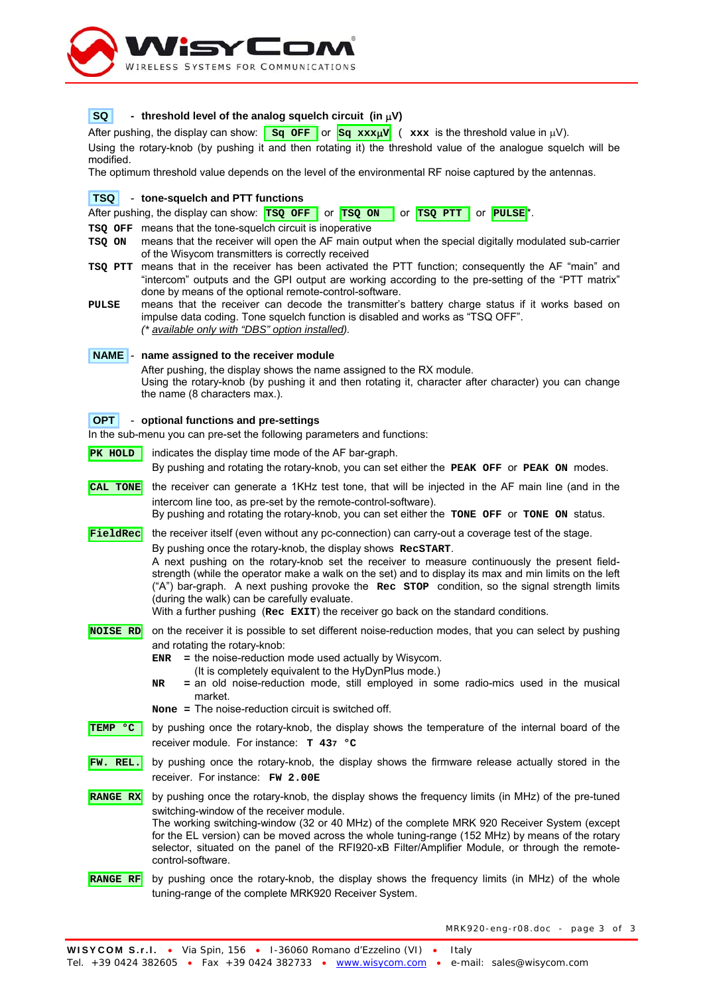

### **SQ** - threshold level of the analog squelch circuit (in  $\mu$ V)

After pushing, the display can show:  $\frac{sq}{sq}$  **Sq**  $\frac{sq}{sq}$  xxx $\frac{w}{q}$  ( xxx is the threshold value in  $\mu V$ ). Using the rotary-knob (by pushing it and then rotating it) the threshold value of the analogue squelch will be modified.

The optimum threshold value depends on the level of the environmental RF noise captured by the antennas.

### **TSQ** - **tone-squelch and PTT functions**

| After pushing, the display can show: $TSQ$ OFF or $TSQ$ ON or $TSQ$ PTT or PULSE <sup>*</sup> . |  |  |  |  |
|-------------------------------------------------------------------------------------------------|--|--|--|--|
|-------------------------------------------------------------------------------------------------|--|--|--|--|

**TSQ OFF** means that the tone-squelch circuit is inoperative

- **TSQ ON** means that the receiver will open the AF main output when the special digitally modulated sub-carrier of the Wisycom transmitters is correctly received
- **TSQ PTT** means that in the receiver has been activated the PTT function; consequently the AF "main" and "intercom" outputs and the GPI output are working according to the pre-setting of the "PTT matrix" done by means of the optional remote-control-software.
- **PULSE** means that the receiver can decode the transmitter's battery charge status if it works based on impulse data coding. Tone squelch function is disabled and works as "TSQ OFF". *(\* available only with "DBS" option installed).*

### **NAME** - **name assigned to the receiver module**

After pushing, the display shows the name assigned to the RX module.

Using the rotary-knob (by pushing it and then rotating it, character after character) you can change the name (8 characters max.).

### **OPT** - **optional functions and pre-settings**

In the sub-menu you can pre-set the following parameters and functions:

- **PK HOLD** indicates the display time mode of the AF bar-graph. By pushing and rotating the rotary-knob, you can set either the **PEAK OFF** or **PEAK ON** modes. **CAL TONE** the receiver can generate a 1KHz test tone, that will be injected in the AF main line (and in the intercom line too, as pre-set by the remote-control-software). By pushing and rotating the rotary-knob, you can set either the **TONE OFF** or **TONE ON** status. **FieldRec** the receiver itself (even without any pc-connection) can carry-out a coverage test of the stage. By pushing once the rotary-knob, the display shows **RecSTART**. A next pushing on the rotary-knob set the receiver to measure continuously the present fieldstrength (while the operator make a walk on the set) and to display its max and min limits on the left ("A") bar-graph. A next pushing provoke the **Rec STOP** condition, so the signal strength limits (during the walk) can be carefully evaluate. With a further pushing (**Rec EXIT**) the receiver go back on the standard conditions. **NOISE RD** on the receiver it is possible to set different noise-reduction modes, that you can select by pushing
- and rotating the rotary-knob:
	- **ENR =** the noise-reduction mode used actually by Wisycom.
		- (It is completely equivalent to the HyDynPlus mode.)
	- **NR =** an old noise-reduction mode, still employed in some radio-mics used in the musical market.
	- **None =** The noise-reduction circuit is switched off.
- **TEMP °C** by pushing once the rotary-knob, the display shows the temperature of the internal board of the receiver module. For instance: **T 437 °C**
- **FW. REL.** by pushing once the rotary-knob, the display shows the firmware release actually stored in the receiver. For instance: **FW 2.00E**

**RANGE RX** by pushing once the rotary-knob, the display shows the frequency limits (in MHz) of the pre-tuned switching-window of the receiver module. The working switching-window (32 or 40 MHz) of the complete MRK 920 Receiver System (except

for the EL version) can be moved across the whole tuning-range (152 MHz) by means of the rotary selector, situated on the panel of the RFI920-xB Filter/Amplifier Module, or through the remotecontrol-software.

**RANGE RF** by pushing once the rotary-knob, the display shows the frequency limits (in MHz) of the whole tuning-range of the complete MRK920 Receiver System.

MRK920-eng-r08.doc - page 3 of 3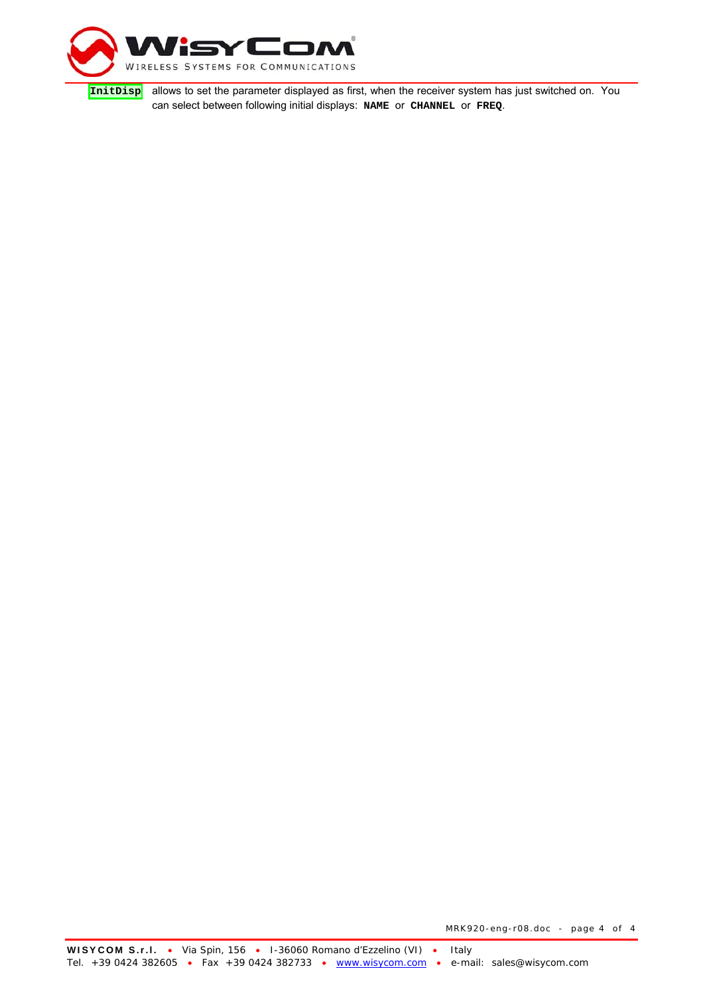

**InitDisp** allows to set the parameter displayed as first, when the receiver system has just switched on. You can select between following initial displays: **NAME** or **CHANNEL** or **FREQ**.

MRK920-eng-r08.doc - page 4 of 4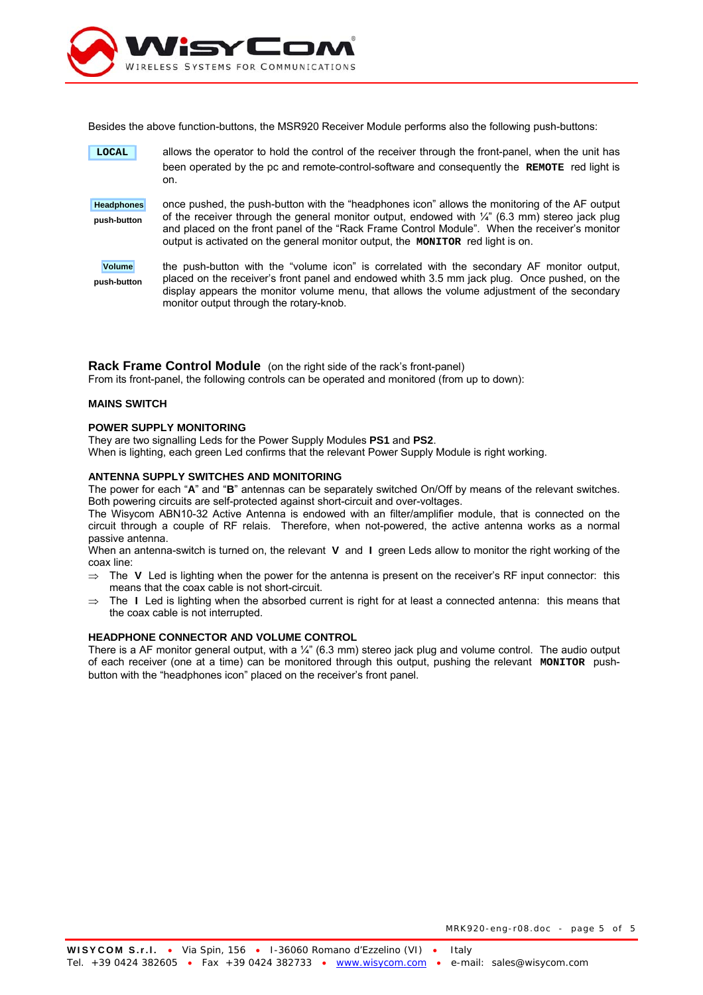

Besides the above function-buttons, the MSR920 Receiver Module performs also the following push-buttons:

 **LOCAL** allows the operator to hold the control of the receiver through the front-panel, when the unit has been operated by the pc and remote-control-software and consequently the **REMOTE** red light is on. **Headphones push-button**  once pushed, the push-button with the "headphones icon" allows the monitoring of the AF output of the receiver through the general monitor output, endowed with  $\frac{1}{4}$ " (6.3 mm) stereo jack plug and placed on the front panel of the "Rack Frame Control Module". When the receiver's monitor output is activated on the general monitor output, the **MONITOR** red light is on. **Volume push-button** the push-button with the "volume icon" is correlated with the secondary AF monitor output, placed on the receiver's front panel and endowed whith 3.5 mm jack plug. Once pushed, on the display appears the monitor volume menu, that allows the volume adjustment of the secondary

#### **Rack Frame Control Module** (on the right side of the rack's front-panel) From its front-panel, the following controls can be operated and monitored (from up to down):

#### **MAINS SWITCH**

#### **POWER SUPPLY MONITORING**

They are two signalling Leds for the Power Supply Modules **PS1** and **PS2**. When is lighting, each green Led confirms that the relevant Power Supply Module is right working.

monitor output through the rotary-knob.

#### **ANTENNA SUPPLY SWITCHES AND MONITORING**

The power for each "**A**" and "**B**" antennas can be separately switched On/Off by means of the relevant switches. Both powering circuits are self-protected against short-circuit and over-voltages.

The Wisycom ABN10-32 Active Antenna is endowed with an filter/amplifier module, that is connected on the circuit through a couple of RF relais. Therefore, when not-powered, the active antenna works as a normal passive antenna.

When an antenna-switch is turned on, the relevant **V** and **I** green Leds allow to monitor the right working of the coax line:

- ⇒ The **V** Led is lighting when the power for the antenna is present on the receiver's RF input connector: this means that the coax cable is not short-circuit.
- ⇒ The **I** Led is lighting when the absorbed current is right for at least a connected antenna: this means that the coax cable is not interrupted.

#### **HEADPHONE CONNECTOR AND VOLUME CONTROL**

There is a AF monitor general output, with a  $\frac{1}{4}$ " (6.3 mm) stereo jack plug and volume control. The audio output of each receiver (one at a time) can be monitored through this output, pushing the relevant **MONITOR** pushbutton with the "headphones icon" placed on the receiver's front panel.